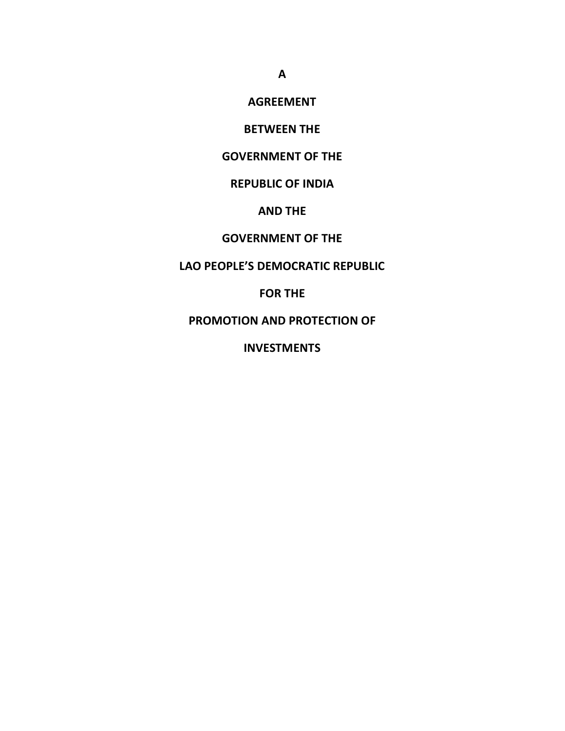## **AGREEMENT**

## **BETWEEN THE**

# **GOVERNMENT OF THE**

# **REPUBLIC OF INDIA**

## **AND THE**

## **GOVERNMENT OF THE**

# **LAO PEOPLE'S DEMOCRATIC REPUBLIC**

# **FOR THE**

# **PROMOTION AND PROTECTION OF**

# **INVESTMENTS**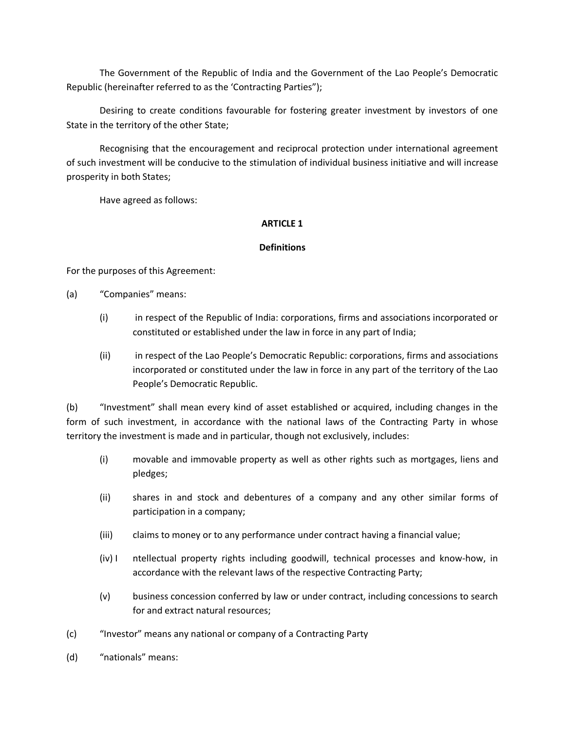The Government of the Republic of India and the Government of the Lao People's Democratic Republic (hereinafter referred to as the 'Contracting Parties");

Desiring to create conditions favourable for fostering greater investment by investors of one State in the territory of the other State;

Recognising that the encouragement and reciprocal protection under international agreement of such investment will be conducive to the stimulation of individual business initiative and will increase prosperity in both States;

Have agreed as follows:

### **ARTICLE 1**

#### **Definitions**

For the purposes of this Agreement:

- (a) "Companies" means:
	- (i) in respect of the Republic of India: corporations, firms and associations incorporated or constituted or established under the law in force in any part of India;
	- (ii) in respect of the Lao People's Democratic Republic: corporations, firms and associations incorporated or constituted under the law in force in any part of the territory of the Lao People's Democratic Republic.

(b) "Investment" shall mean every kind of asset established or acquired, including changes in the form of such investment, in accordance with the national laws of the Contracting Party in whose territory the investment is made and in particular, though not exclusively, includes:

- (i) movable and immovable property as well as other rights such as mortgages, liens and pledges;
- (ii) shares in and stock and debentures of a company and any other similar forms of participation in a company;
- (iii) claims to money or to any performance under contract having a financial value;
- (iv) I ntellectual property rights including goodwill, technical processes and know-how, in accordance with the relevant laws of the respective Contracting Party;
- (v) business concession conferred by law or under contract, including concessions to search for and extract natural resources;
- (c) "Investor" means any national or company of a Contracting Party
- (d) "nationals" means: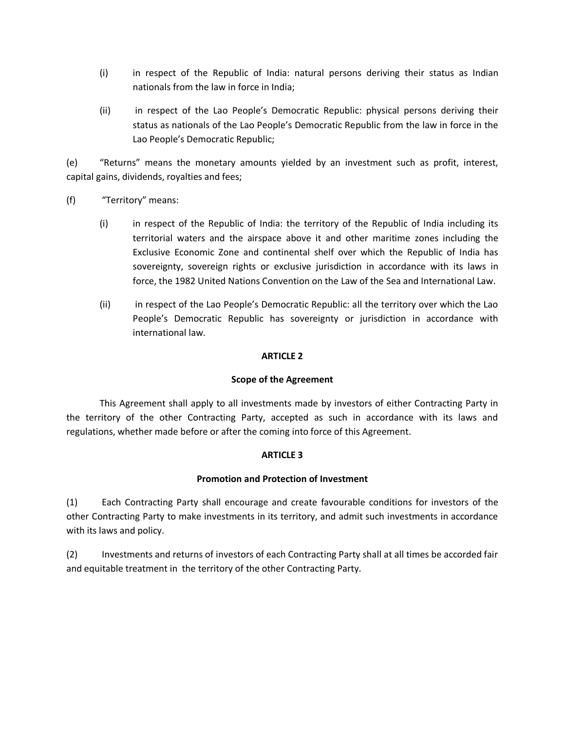- (i) in respect of the Republic of India: natural persons deriving their status as Indian nationals from the law in force in India;
- (ii) in respect of the Lao People's Democratic Republic: physical persons deriving their status as nationals of the Lao People's Democratic Republic from the law in force in the Lao People's Democratic Republic;

(e) "Returns" means the monetary amounts yielded by an investment such as profit, interest, capital gains, dividends, royalties and fees;

- (f) "Territory" means:
	- (i) in respect of the Republic of India: the territory of the Republic of India including its territorial waters and the airspace above it and other maritime zones including the Exclusive Economic Zone and continental shelf over which the Republic of India has sovereignty, sovereign rights or exclusive jurisdiction in accordance with its laws in force, the 1982 United Nations Convention on the Law of the Sea and International Law.
	- (ii) in respect of the Lao People's Democratic Republic: all the territory over which the Lao People's Democratic Republic has sovereignty or jurisdiction in accordance with international law.

### **ARTICLE 2**

#### **Scope of the Agreement**

This Agreement shall apply to all investments made by investors of either Contracting Party in the territory of the other Contracting Party, accepted as such in accordance with its laws and regulations, whether made before or after the coming into force of this Agreement.

#### **ARTICLE 3**

## **Promotion and Protection of Investment**

(1) Each Contracting Party shall encourage and create favourable conditions for investors of the other Contracting Party to make investments in its territory, and admit such investments in accordance with its laws and policy.

(2) Investments and returns of investors of each Contracting Party shall at all times be accorded fair and equitable treatment in the territory of the other Contracting Party.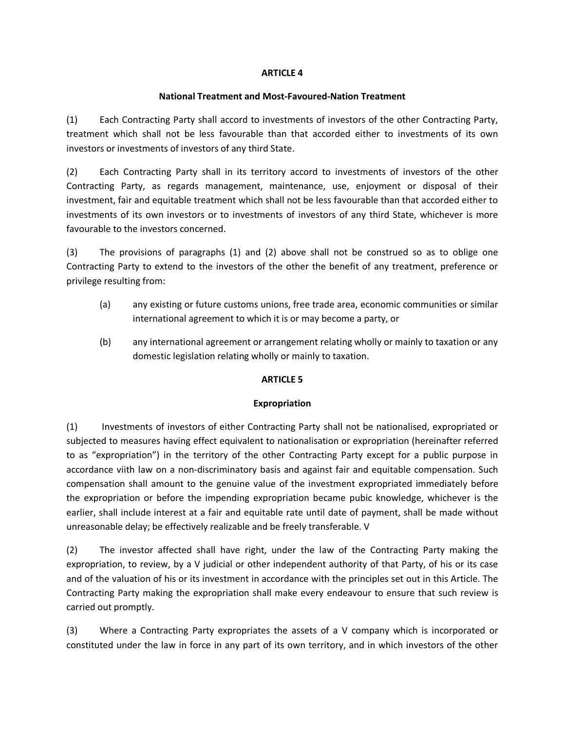### **ARTICLE 4**

### **National Treatment and Most-Favoured-Nation Treatment**

(1) Each Contracting Party shall accord to investments of investors of the other Contracting Party, treatment which shall not be less favourable than that accorded either to investments of its own investors or investments of investors of any third State.

(2) Each Contracting Party shall in its territory accord to investments of investors of the other Contracting Party, as regards management, maintenance, use, enjoyment or disposal of their investment, fair and equitable treatment which shall not be less favourable than that accorded either to investments of its own investors or to investments of investors of any third State, whichever is more favourable to the investors concerned.

(3) The provisions of paragraphs (1) and (2) above shall not be construed so as to oblige one Contracting Party to extend to the investors of the other the benefit of any treatment, preference or privilege resulting from:

- (a) any existing or future customs unions, free trade area, economic communities or similar international agreement to which it is or may become a party, or
- (b) any international agreement or arrangement relating wholly or mainly to taxation or any domestic legislation relating wholly or mainly to taxation.

## **ARTICLE 5**

#### **Expropriation**

(1) Investments of investors of either Contracting Party shall not be nationalised, expropriated or subjected to measures having effect equivalent to nationalisation or expropriation (hereinafter referred to as "expropriation") in the territory of the other Contracting Party except for a public purpose in accordance viith law on a non-discriminatory basis and against fair and equitable compensation. Such compensation shall amount to the genuine value of the investment expropriated immediately before the expropriation or before the impending expropriation became pubic knowledge, whichever is the earlier, shall include interest at a fair and equitable rate until date of payment, shall be made without unreasonable delay; be effectively realizable and be freely transferable. V

(2) The investor affected shall have right, under the law of the Contracting Party making the expropriation, to review, by a V judicial or other independent authority of that Party, of his or its case and of the valuation of his or its investment in accordance with the principles set out in this Article. The Contracting Party making the expropriation shall make every endeavour to ensure that such review is carried out promptly.

(3) Where a Contracting Party expropriates the assets of a V company which is incorporated or constituted under the law in force in any part of its own territory, and in which investors of the other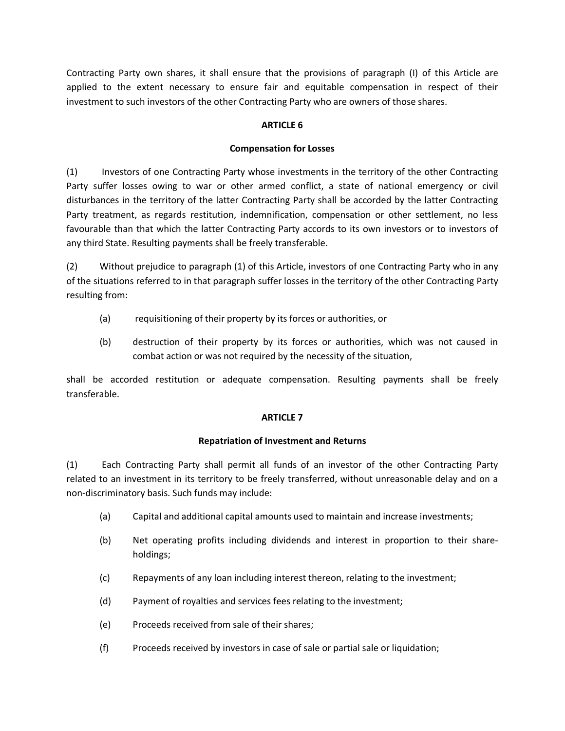Contracting Party own shares, it shall ensure that the provisions of paragraph (I) of this Article are applied to the extent necessary to ensure fair and equitable compensation in respect of their investment to such investors of the other Contracting Party who are owners of those shares.

## **ARTICLE 6**

#### **Compensation for Losses**

(1) Investors of one Contracting Party whose investments in the territory of the other Contracting Party suffer losses owing to war or other armed conflict, a state of national emergency or civil disturbances in the territory of the latter Contracting Party shall be accorded by the latter Contracting Party treatment, as regards restitution, indemnification, compensation or other settlement, no less favourable than that which the latter Contracting Party accords to its own investors or to investors of any third State. Resulting payments shall be freely transferable.

(2) Without prejudice to paragraph (1) of this Article, investors of one Contracting Party who in any of the situations referred to in that paragraph suffer losses in the territory of the other Contracting Party resulting from:

- (a) requisitioning of their property by its forces or authorities, or
- (b) destruction of their property by its forces or authorities, which was not caused in combat action or was not required by the necessity of the situation,

shall be accorded restitution or adequate compensation. Resulting payments shall be freely transferable.

#### **ARTICLE 7**

## **Repatriation of Investment and Returns**

(1) Each Contracting Party shall permit all funds of an investor of the other Contracting Party related to an investment in its territory to be freely transferred, without unreasonable delay and on a non-discriminatory basis. Such funds may include:

- (a) Capital and additional capital amounts used to maintain and increase investments;
- (b) Net operating profits including dividends and interest in proportion to their shareholdings;
- (c) Repayments of any loan including interest thereon, relating to the investment;
- (d) Payment of royalties and services fees relating to the investment;
- (e) Proceeds received from sale of their shares;
- (f) Proceeds received by investors in case of sale or partial sale or liquidation;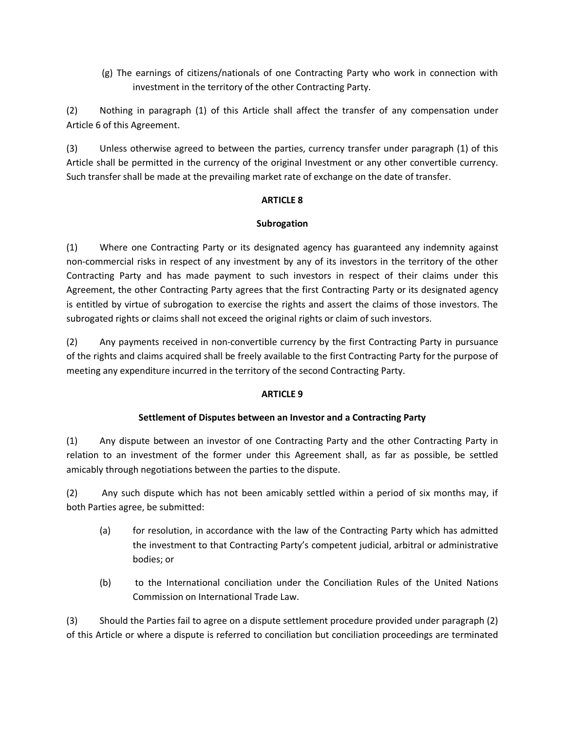(g) The earnings of citizens/nationals of one Contracting Party who work in connection with investment in the territory of the other Contracting Party.

(2) Nothing in paragraph (1) of this Article shall affect the transfer of any compensation under Article 6 of this Agreement.

(3) Unless otherwise agreed to between the parties, currency transfer under paragraph (1) of this Article shall be permitted in the currency of the original Investment or any other convertible currency. Such transfer shall be made at the prevailing market rate of exchange on the date of transfer.

## **ARTICLE 8**

### **Subrogation**

(1) Where one Contracting Party or its designated agency has guaranteed any indemnity against non-commercial risks in respect of any investment by any of its investors in the territory of the other Contracting Party and has made payment to such investors in respect of their claims under this Agreement, the other Contracting Party agrees that the first Contracting Party or its designated agency is entitled by virtue of subrogation to exercise the rights and assert the claims of those investors. The subrogated rights or claims shall not exceed the original rights or claim of such investors.

(2) Any payments received in non-convertible currency by the first Contracting Party in pursuance of the rights and claims acquired shall be freely available to the first Contracting Party for the purpose of meeting any expenditure incurred in the territory of the second Contracting Party.

## **ARTICLE 9**

## **Settlement of Disputes between an Investor and a Contracting Party**

(1) Any dispute between an investor of one Contracting Party and the other Contracting Party in relation to an investment of the former under this Agreement shall, as far as possible, be settled amicably through negotiations between the parties to the dispute.

(2) Any such dispute which has not been amicably settled within a period of six months may, if both Parties agree, be submitted:

- (a) for resolution, in accordance with the law of the Contracting Party which has admitted the investment to that Contracting Party's competent judicial, arbitral or administrative bodies; or
- (b) to the International conciliation under the Conciliation Rules of the United Nations Commission on International Trade Law.

(3) Should the Parties fail to agree on a dispute settlement procedure provided under paragraph (2) of this Article or where a dispute is referred to conciliation but conciliation proceedings are terminated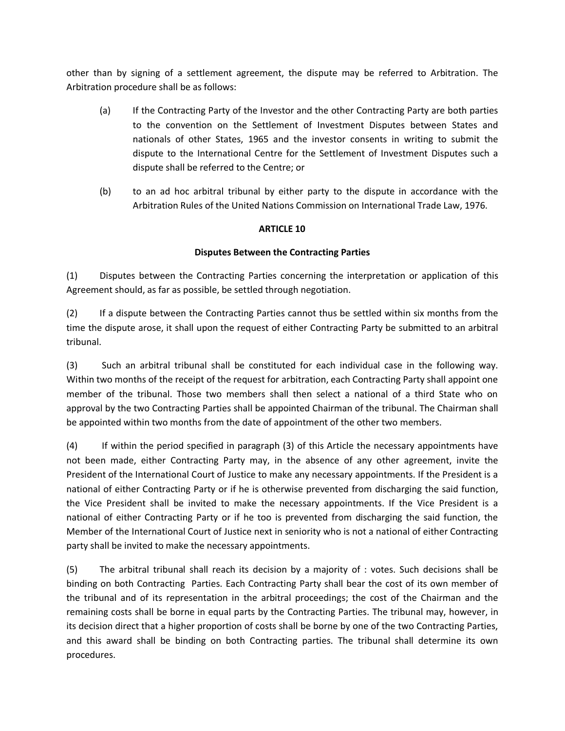other than by signing of a settlement agreement, the dispute may be referred to Arbitration. The Arbitration procedure shall be as follows:

- (a) If the Contracting Party of the Investor and the other Contracting Party are both parties to the convention on the Settlement of Investment Disputes between States and nationals of other States, 1965 and the investor consents in writing to submit the dispute to the International Centre for the Settlement of Investment Disputes such a dispute shall be referred to the Centre; or
- (b) to an ad hoc arbitral tribunal by either party to the dispute in accordance with the Arbitration Rules of the United Nations Commission on International Trade Law, 1976.

## **ARTICLE 10**

## **Disputes Between the Contracting Parties**

(1) Disputes between the Contracting Parties concerning the interpretation or application of this Agreement should, as far as possible, be settled through negotiation.

(2) If a dispute between the Contracting Parties cannot thus be settled within six months from the time the dispute arose, it shall upon the request of either Contracting Party be submitted to an arbitral tribunal.

(3) Such an arbitral tribunal shall be constituted for each individual case in the following way. Within two months of the receipt of the request for arbitration, each Contracting Party shall appoint one member of the tribunal. Those two members shall then select a national of a third State who on approval by the two Contracting Parties shall be appointed Chairman of the tribunal. The Chairman shall be appointed within two months from the date of appointment of the other two members.

(4) If within the period specified in paragraph (3) of this Article the necessary appointments have not been made, either Contracting Party may, in the absence of any other agreement, invite the President of the International Court of Justice to make any necessary appointments. If the President is a national of either Contracting Party or if he is otherwise prevented from discharging the said function, the Vice President shall be invited to make the necessary appointments. If the Vice President is a national of either Contracting Party or if he too is prevented from discharging the said function, the Member of the International Court of Justice next in seniority who is not a national of either Contracting party shall be invited to make the necessary appointments.

(5) The arbitral tribunal shall reach its decision by a majority of : votes. Such decisions shall be binding on both Contracting Parties. Each Contracting Party shall bear the cost of its own member of the tribunal and of its representation in the arbitral proceedings; the cost of the Chairman and the remaining costs shall be borne in equal parts by the Contracting Parties. The tribunal may, however, in its decision direct that a higher proportion of costs shall be borne by one of the two Contracting Parties, and this award shall be binding on both Contracting parties. The tribunal shall determine its own procedures.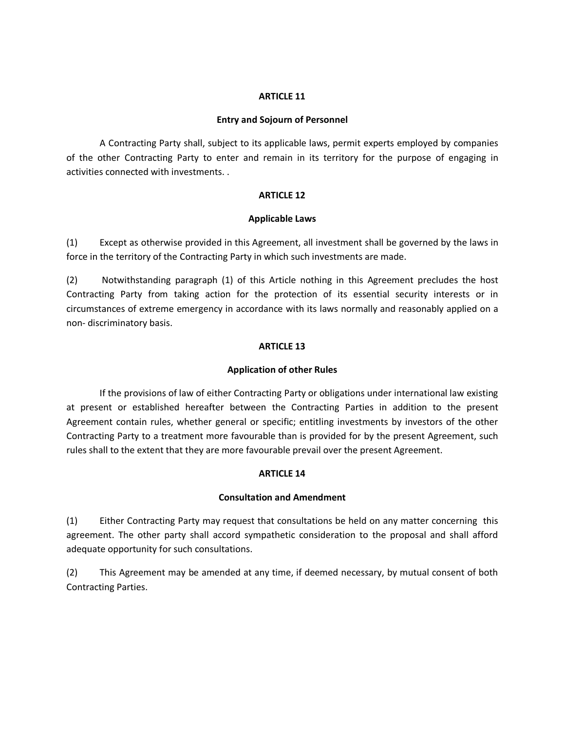#### **ARTICLE 11**

#### **Entry and Sojourn of Personnel**

A Contracting Party shall, subject to its applicable laws, permit experts employed by companies of the other Contracting Party to enter and remain in its territory for the purpose of engaging in activities connected with investments. .

#### **ARTICLE 12**

#### **Applicable Laws**

(1) Except as otherwise provided in this Agreement, all investment shall be governed by the laws in force in the territory of the Contracting Party in which such investments are made.

(2) Notwithstanding paragraph (1) of this Article nothing in this Agreement precludes the host Contracting Party from taking action for the protection of its essential security interests or in circumstances of extreme emergency in accordance with its laws normally and reasonably applied on a non- discriminatory basis.

#### **ARTICLE 13**

#### **Application of other Rules**

If the provisions of law of either Contracting Party or obligations under international law existing at present or established hereafter between the Contracting Parties in addition to the present Agreement contain rules, whether general or specific; entitling investments by investors of the other Contracting Party to a treatment more favourable than is provided for by the present Agreement, such rules shall to the extent that they are more favourable prevail over the present Agreement.

#### **ARTICLE 14**

#### **Consultation and Amendment**

(1) Either Contracting Party may request that consultations be held on any matter concerning this agreement. The other party shall accord sympathetic consideration to the proposal and shall afford adequate opportunity for such consultations.

(2) This Agreement may be amended at any time, if deemed necessary, by mutual consent of both Contracting Parties.